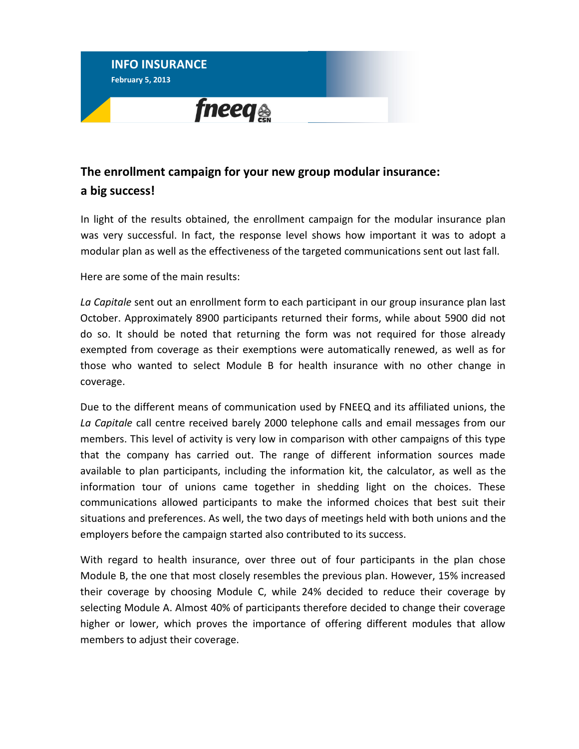

## **The enrollment campaign for your new group modular insurance: a big success!**

In light of the results obtained, the enrollment campaign for the modular insurance plan was very successful. In fact, the response level shows how important it was to adopt a modular plan as well as the effectiveness of the targeted communications sent out last fall.

Here are some of the main results:

*La Capitale* sent out an enrollment form to each participant in our group insurance plan last October. Approximately 8900 participants returned their forms, while about 5900 did not do so. It should be noted that returning the form was not required for those already exempted from coverage as their exemptions were automatically renewed, as well as for those who wanted to select Module B for health insurance with no other change in coverage.

Due to the different means of communication used by FNEEQ and its affiliated unions, the *La Capitale* call centre received barely 2000 telephone calls and email messages from our members. This level of activity is very low in comparison with other campaigns of this type that the company has carried out. The range of different information sources made available to plan participants, including the information kit, the calculator, as well as the information tour of unions came together in shedding light on the choices. These communications allowed participants to make the informed choices that best suit their situations and preferences. As well, the two days of meetings held with both unions and the employers before the campaign started also contributed to its success.

With regard to health insurance, over three out of four participants in the plan chose Module B, the one that most closely resembles the previous plan. However, 15% increased their coverage by choosing Module C, while 24% decided to reduce their coverage by selecting Module A. Almost 40% of participants therefore decided to change their coverage higher or lower, which proves the importance of offering different modules that allow members to adjust their coverage.